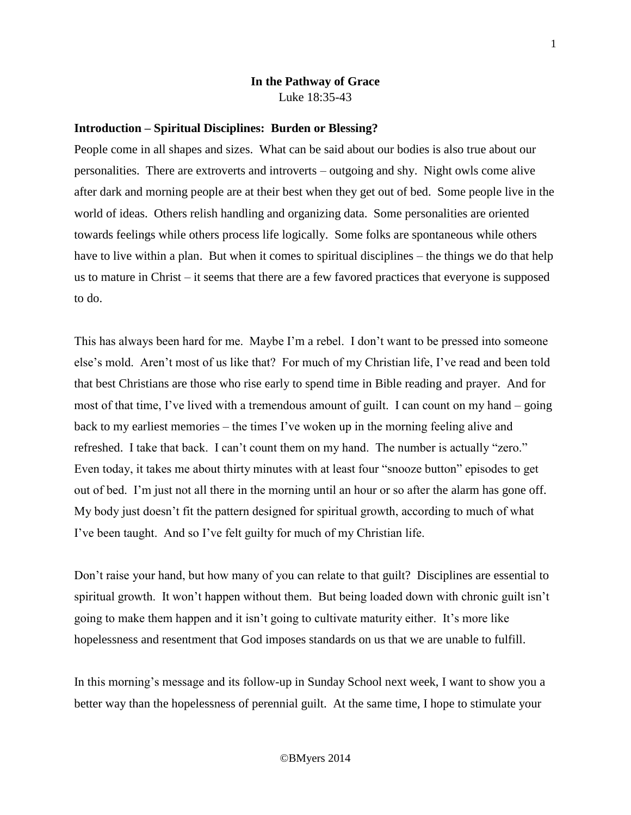# **In the Pathway of Grace** Luke 18:35-43

## **Introduction – Spiritual Disciplines: Burden or Blessing?**

People come in all shapes and sizes. What can be said about our bodies is also true about our personalities. There are extroverts and introverts – outgoing and shy. Night owls come alive after dark and morning people are at their best when they get out of bed. Some people live in the world of ideas. Others relish handling and organizing data. Some personalities are oriented towards feelings while others process life logically. Some folks are spontaneous while others have to live within a plan. But when it comes to spiritual disciplines – the things we do that help us to mature in Christ – it seems that there are a few favored practices that everyone is supposed to do.

This has always been hard for me. Maybe I'm a rebel. I don't want to be pressed into someone else's mold. Aren't most of us like that? For much of my Christian life, I've read and been told that best Christians are those who rise early to spend time in Bible reading and prayer. And for most of that time, I've lived with a tremendous amount of guilt. I can count on my hand – going back to my earliest memories – the times I've woken up in the morning feeling alive and refreshed. I take that back. I can't count them on my hand. The number is actually "zero." Even today, it takes me about thirty minutes with at least four "snooze button" episodes to get out of bed. I'm just not all there in the morning until an hour or so after the alarm has gone off. My body just doesn't fit the pattern designed for spiritual growth, according to much of what I've been taught. And so I've felt guilty for much of my Christian life.

Don't raise your hand, but how many of you can relate to that guilt? Disciplines are essential to spiritual growth. It won't happen without them. But being loaded down with chronic guilt isn't going to make them happen and it isn't going to cultivate maturity either. It's more like hopelessness and resentment that God imposes standards on us that we are unable to fulfill.

In this morning's message and its follow-up in Sunday School next week, I want to show you a better way than the hopelessness of perennial guilt. At the same time, I hope to stimulate your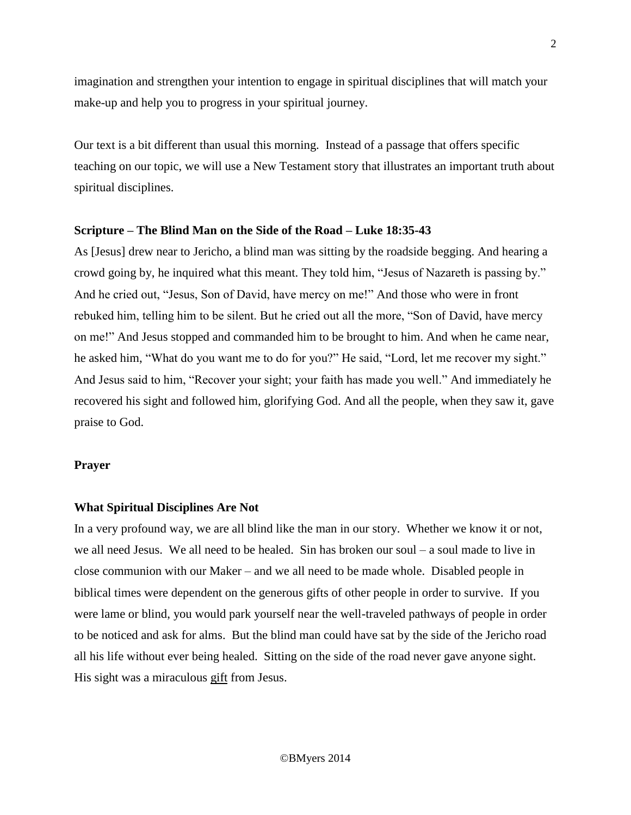imagination and strengthen your intention to engage in spiritual disciplines that will match your make-up and help you to progress in your spiritual journey.

Our text is a bit different than usual this morning. Instead of a passage that offers specific teaching on our topic, we will use a New Testament story that illustrates an important truth about spiritual disciplines.

#### **Scripture – The Blind Man on the Side of the Road – Luke 18:35-43**

As [Jesus] drew near to Jericho, a blind man was sitting by the roadside begging. And hearing a crowd going by, he inquired what this meant. They told him, "Jesus of Nazareth is passing by." And he cried out, "Jesus, Son of David, have mercy on me!" And those who were in front rebuked him, telling him to be silent. But he cried out all the more, "Son of David, have mercy on me!" And Jesus stopped and commanded him to be brought to him. And when he came near, he asked him, "What do you want me to do for you?" He said, "Lord, let me recover my sight." And Jesus said to him, "Recover your sight; your faith has made you well." And immediately he recovered his sight and followed him, glorifying God. And all the people, when they saw it, gave praise to God.

### **Prayer**

#### **What Spiritual Disciplines Are Not**

In a very profound way, we are all blind like the man in our story. Whether we know it or not, we all need Jesus. We all need to be healed. Sin has broken our soul – a soul made to live in close communion with our Maker – and we all need to be made whole. Disabled people in biblical times were dependent on the generous gifts of other people in order to survive. If you were lame or blind, you would park yourself near the well-traveled pathways of people in order to be noticed and ask for alms. But the blind man could have sat by the side of the Jericho road all his life without ever being healed. Sitting on the side of the road never gave anyone sight. His sight was a miraculous gift from Jesus.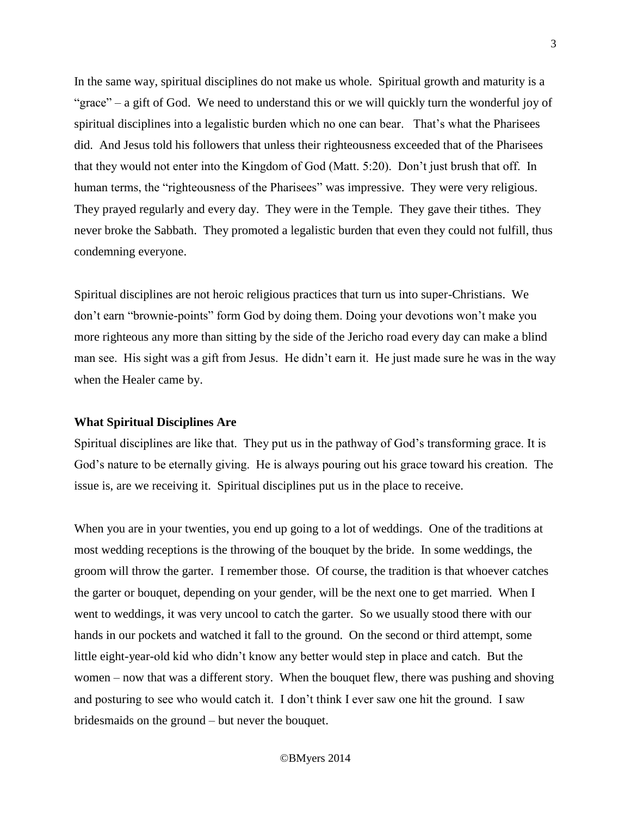In the same way, spiritual disciplines do not make us whole. Spiritual growth and maturity is a "grace" – a gift of God. We need to understand this or we will quickly turn the wonderful joy of spiritual disciplines into a legalistic burden which no one can bear. That's what the Pharisees did. And Jesus told his followers that unless their righteousness exceeded that of the Pharisees that they would not enter into the Kingdom of God (Matt. 5:20). Don't just brush that off. In human terms, the "righteousness of the Pharisees" was impressive. They were very religious. They prayed regularly and every day. They were in the Temple. They gave their tithes. They never broke the Sabbath. They promoted a legalistic burden that even they could not fulfill, thus condemning everyone.

Spiritual disciplines are not heroic religious practices that turn us into super-Christians. We don't earn "brownie-points" form God by doing them. Doing your devotions won't make you more righteous any more than sitting by the side of the Jericho road every day can make a blind man see. His sight was a gift from Jesus. He didn't earn it. He just made sure he was in the way when the Healer came by.

### **What Spiritual Disciplines Are**

Spiritual disciplines are like that. They put us in the pathway of God's transforming grace. It is God's nature to be eternally giving. He is always pouring out his grace toward his creation. The issue is, are we receiving it. Spiritual disciplines put us in the place to receive.

When you are in your twenties, you end up going to a lot of weddings. One of the traditions at most wedding receptions is the throwing of the bouquet by the bride. In some weddings, the groom will throw the garter. I remember those. Of course, the tradition is that whoever catches the garter or bouquet, depending on your gender, will be the next one to get married. When I went to weddings, it was very uncool to catch the garter. So we usually stood there with our hands in our pockets and watched it fall to the ground. On the second or third attempt, some little eight-year-old kid who didn't know any better would step in place and catch. But the women – now that was a different story. When the bouquet flew, there was pushing and shoving and posturing to see who would catch it. I don't think I ever saw one hit the ground. I saw bridesmaids on the ground – but never the bouquet.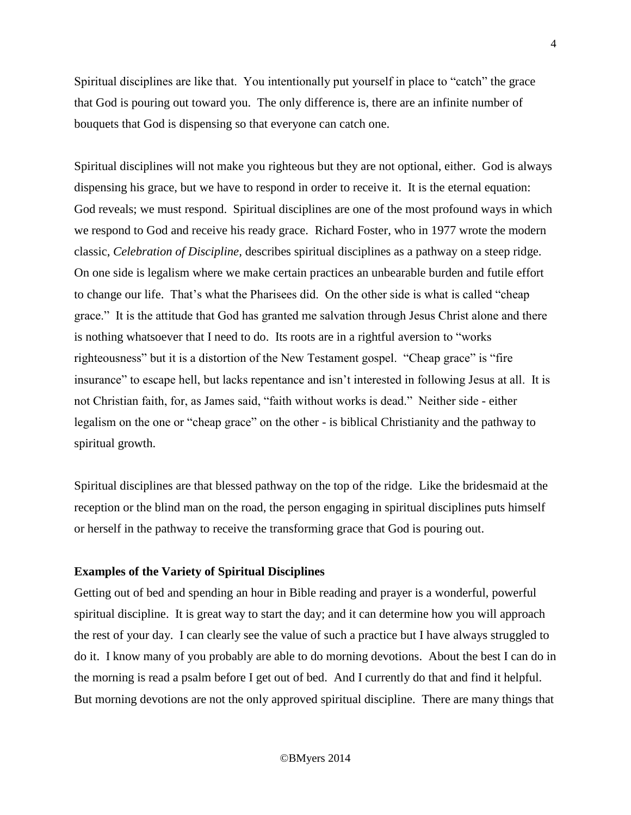Spiritual disciplines are like that. You intentionally put yourself in place to "catch" the grace that God is pouring out toward you. The only difference is, there are an infinite number of bouquets that God is dispensing so that everyone can catch one.

Spiritual disciplines will not make you righteous but they are not optional, either. God is always dispensing his grace, but we have to respond in order to receive it. It is the eternal equation: God reveals; we must respond. Spiritual disciplines are one of the most profound ways in which we respond to God and receive his ready grace. Richard Foster, who in 1977 wrote the modern classic, *Celebration of Discipline,* describes spiritual disciplines as a pathway on a steep ridge. On one side is legalism where we make certain practices an unbearable burden and futile effort to change our life. That's what the Pharisees did. On the other side is what is called "cheap grace." It is the attitude that God has granted me salvation through Jesus Christ alone and there is nothing whatsoever that I need to do. Its roots are in a rightful aversion to "works righteousness" but it is a distortion of the New Testament gospel. "Cheap grace" is "fire insurance" to escape hell, but lacks repentance and isn't interested in following Jesus at all. It is not Christian faith, for, as James said, "faith without works is dead." Neither side - either legalism on the one or "cheap grace" on the other - is biblical Christianity and the pathway to spiritual growth.

Spiritual disciplines are that blessed pathway on the top of the ridge. Like the bridesmaid at the reception or the blind man on the road, the person engaging in spiritual disciplines puts himself or herself in the pathway to receive the transforming grace that God is pouring out.

## **Examples of the Variety of Spiritual Disciplines**

Getting out of bed and spending an hour in Bible reading and prayer is a wonderful, powerful spiritual discipline. It is great way to start the day; and it can determine how you will approach the rest of your day. I can clearly see the value of such a practice but I have always struggled to do it. I know many of you probably are able to do morning devotions. About the best I can do in the morning is read a psalm before I get out of bed. And I currently do that and find it helpful. But morning devotions are not the only approved spiritual discipline. There are many things that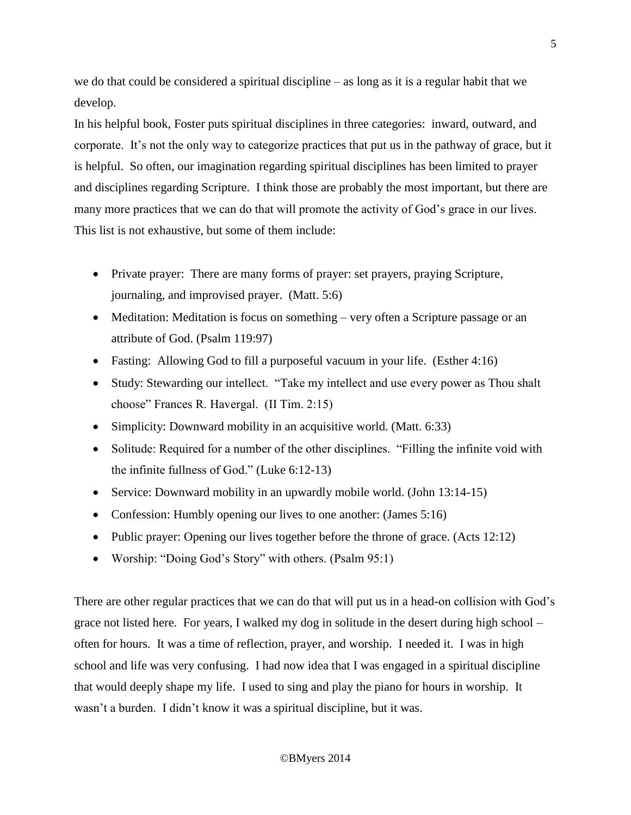we do that could be considered a spiritual discipline – as long as it is a regular habit that we develop.

In his helpful book, Foster puts spiritual disciplines in three categories: inward, outward, and corporate. It's not the only way to categorize practices that put us in the pathway of grace, but it is helpful. So often, our imagination regarding spiritual disciplines has been limited to prayer and disciplines regarding Scripture. I think those are probably the most important, but there are many more practices that we can do that will promote the activity of God's grace in our lives. This list is not exhaustive, but some of them include:

- Private prayer: There are many forms of prayer: set prayers, praying Scripture, journaling, and improvised prayer. (Matt. 5:6)
- Meditation: Meditation is focus on something very often a Scripture passage or an attribute of God. (Psalm 119:97)
- Fasting: Allowing God to fill a purposeful vacuum in your life. (Esther 4:16)
- Study: Stewarding our intellect. "Take my intellect and use every power as Thou shalt choose" Frances R. Havergal. (II Tim. 2:15)
- Simplicity: Downward mobility in an acquisitive world. (Matt. 6:33)
- Solitude: Required for a number of the other disciplines. "Filling the infinite void with the infinite fullness of God." (Luke 6:12-13)
- Service: Downward mobility in an upwardly mobile world. (John 13:14-15)
- Confession: Humbly opening our lives to one another: (James 5:16)
- Public prayer: Opening our lives together before the throne of grace. (Acts 12:12)
- Worship: "Doing God's Story" with others. (Psalm 95:1)

There are other regular practices that we can do that will put us in a head-on collision with God's grace not listed here. For years, I walked my dog in solitude in the desert during high school – often for hours. It was a time of reflection, prayer, and worship. I needed it. I was in high school and life was very confusing. I had now idea that I was engaged in a spiritual discipline that would deeply shape my life. I used to sing and play the piano for hours in worship. It wasn't a burden. I didn't know it was a spiritual discipline, but it was.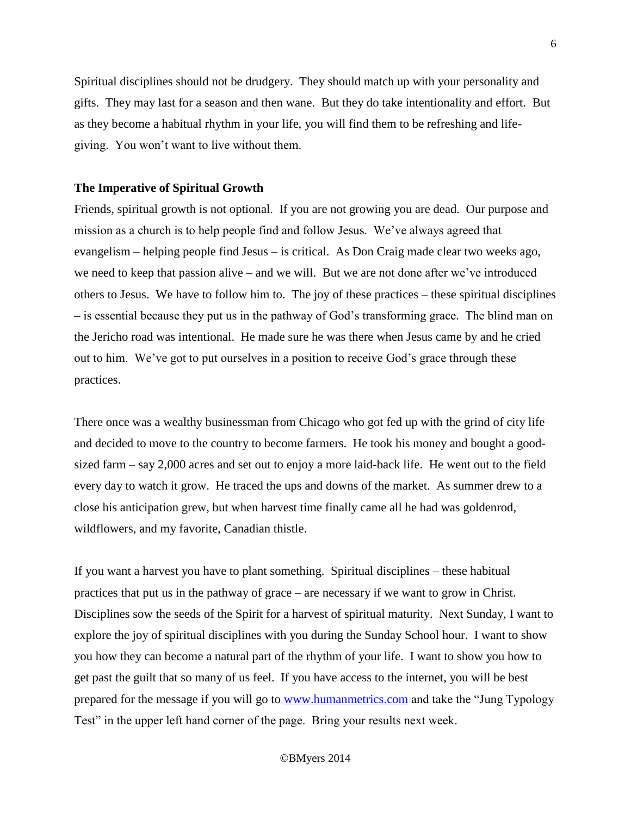Spiritual disciplines should not be drudgery. They should match up with your personality and gifts. They may last for a season and then wane. But they do take intentionality and effort. But as they become a habitual rhythm in your life, you will find them to be refreshing and lifegiving. You won't want to live without them.

### **The Imperative of Spiritual Growth**

Friends, spiritual growth is not optional. If you are not growing you are dead. Our purpose and mission as a church is to help people find and follow Jesus. We've always agreed that evangelism – helping people find Jesus – is critical. As Don Craig made clear two weeks ago, we need to keep that passion alive – and we will. But we are not done after we've introduced others to Jesus. We have to follow him to. The joy of these practices – these spiritual disciplines – is essential because they put us in the pathway of God's transforming grace. The blind man on the Jericho road was intentional. He made sure he was there when Jesus came by and he cried out to him. We've got to put ourselves in a position to receive God's grace through these practices.

There once was a wealthy businessman from Chicago who got fed up with the grind of city life and decided to move to the country to become farmers. He took his money and bought a goodsized farm – say 2,000 acres and set out to enjoy a more laid-back life. He went out to the field every day to watch it grow. He traced the ups and downs of the market. As summer drew to a close his anticipation grew, but when harvest time finally came all he had was goldenrod, wildflowers, and my favorite, Canadian thistle.

If you want a harvest you have to plant something. Spiritual disciplines – these habitual practices that put us in the pathway of grace – are necessary if we want to grow in Christ. Disciplines sow the seeds of the Spirit for a harvest of spiritual maturity. Next Sunday, I want to explore the joy of spiritual disciplines with you during the Sunday School hour. I want to show you how they can become a natural part of the rhythm of your life. I want to show you how to get past the guilt that so many of us feel. If you have access to the internet, you will be best prepared for the message if you will go to [www.humanmetrics.com](http://www.humanmetrics.com/) and take the "Jung Typology Test" in the upper left hand corner of the page. Bring your results next week.